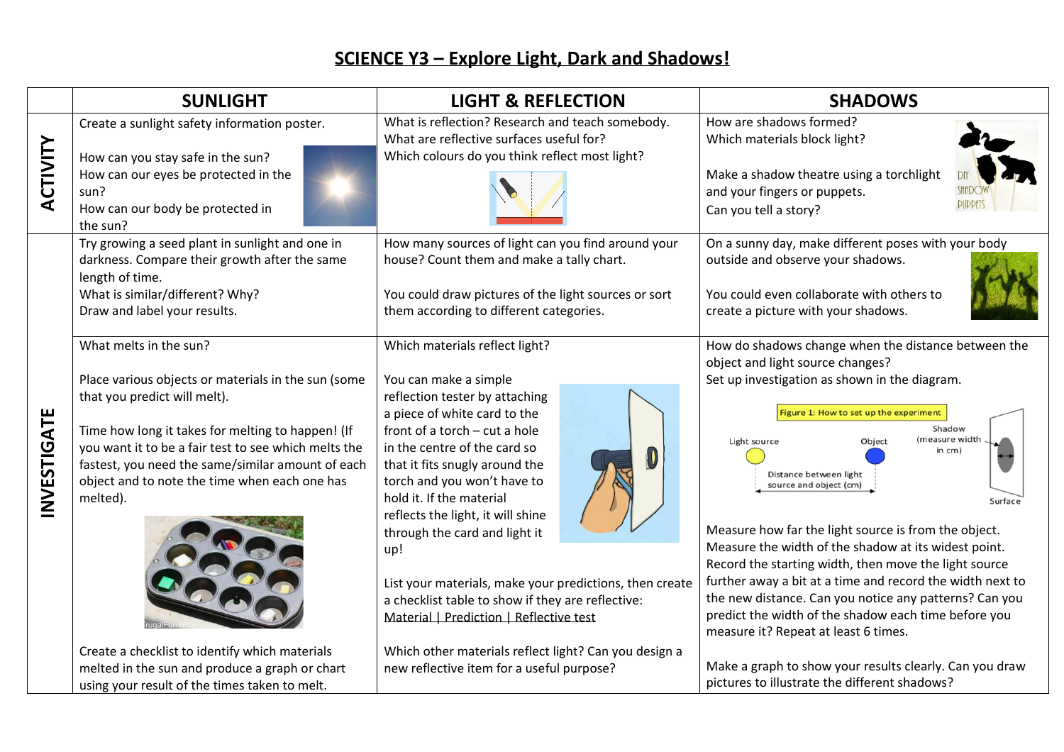## **SCIENCE Y3 – Explore Light, Dark and Shadows!**

|             | <b>SUNLIGHT</b>                                                                                                                                                                                                                                                                                                                                                                  | <b>LIGHT &amp; REFLECTION</b>                                                                                                                                                                                                                                                                                                                                                                                                                                                                            | <b>SHADOWS</b>                                                                                                                                                                                                                                                                                                                                                                                                                                                                                                                                                                                                                          |
|-------------|----------------------------------------------------------------------------------------------------------------------------------------------------------------------------------------------------------------------------------------------------------------------------------------------------------------------------------------------------------------------------------|----------------------------------------------------------------------------------------------------------------------------------------------------------------------------------------------------------------------------------------------------------------------------------------------------------------------------------------------------------------------------------------------------------------------------------------------------------------------------------------------------------|-----------------------------------------------------------------------------------------------------------------------------------------------------------------------------------------------------------------------------------------------------------------------------------------------------------------------------------------------------------------------------------------------------------------------------------------------------------------------------------------------------------------------------------------------------------------------------------------------------------------------------------------|
| ACTIVITY    | Create a sunlight safety information poster.<br>How can you stay safe in the sun?<br>How can our eyes be protected in the<br>sun?<br>How can our body be protected in<br>the sun?                                                                                                                                                                                                | What is reflection? Research and teach somebody.<br>What are reflective surfaces useful for?<br>Which colours do you think reflect most light?                                                                                                                                                                                                                                                                                                                                                           | How are shadows formed?<br>Which materials block light?<br>Make a shadow theatre using a torchlight<br>and your fingers or puppets.<br>Can you tell a story?                                                                                                                                                                                                                                                                                                                                                                                                                                                                            |
|             | Try growing a seed plant in sunlight and one in<br>darkness. Compare their growth after the same<br>length of time.<br>What is similar/different? Why?<br>Draw and label your results.<br>What melts in the sun?<br>Place various objects or materials in the sun (some<br>that you predict will melt).                                                                          | How many sources of light can you find around your<br>house? Count them and make a tally chart.<br>You could draw pictures of the light sources or sort<br>them according to different categories.<br>Which materials reflect light?<br>You can make a simple<br>reflection tester by attaching<br>a piece of white card to the                                                                                                                                                                          | On a sunny day, make different poses with your body<br>outside and observe your shadows.<br>You could even collaborate with others to<br>create a picture with your shadows.<br>How do shadows change when the distance between the<br>object and light source changes?<br>Set up investigation as shown in the diagram.<br>Figure 1: How to set up the experiment                                                                                                                                                                                                                                                                      |
| INVESTIGATE | Time how long it takes for melting to happen! (If<br>you want it to be a fair test to see which melts the<br>fastest, you need the same/similar amount of each<br>object and to note the time when each one has<br>melted).<br>Create a checklist to identify which materials<br>melted in the sun and produce a graph or chart<br>using your result of the times taken to melt. | front of a torch - cut a hole<br>in the centre of the card so<br>that it fits snugly around the<br>torch and you won't have to<br>hold it. If the material<br>reflects the light, it will shine<br>through the card and light it<br>up!<br>List your materials, make your predictions, then create<br>a checklist table to show if they are reflective:<br>Material   Prediction   Reflective test<br>Which other materials reflect light? Can you design a<br>new reflective item for a useful purpose? | Shadow<br>(measure width<br>Light source<br>Object<br>in cm)<br>Distance between light<br>source and object (cm)<br>Surface<br>Measure how far the light source is from the object.<br>Measure the width of the shadow at its widest point.<br>Record the starting width, then move the light source<br>further away a bit at a time and record the width next to<br>the new distance. Can you notice any patterns? Can you<br>predict the width of the shadow each time before you<br>measure it? Repeat at least 6 times.<br>Make a graph to show your results clearly. Can you draw<br>pictures to illustrate the different shadows? |